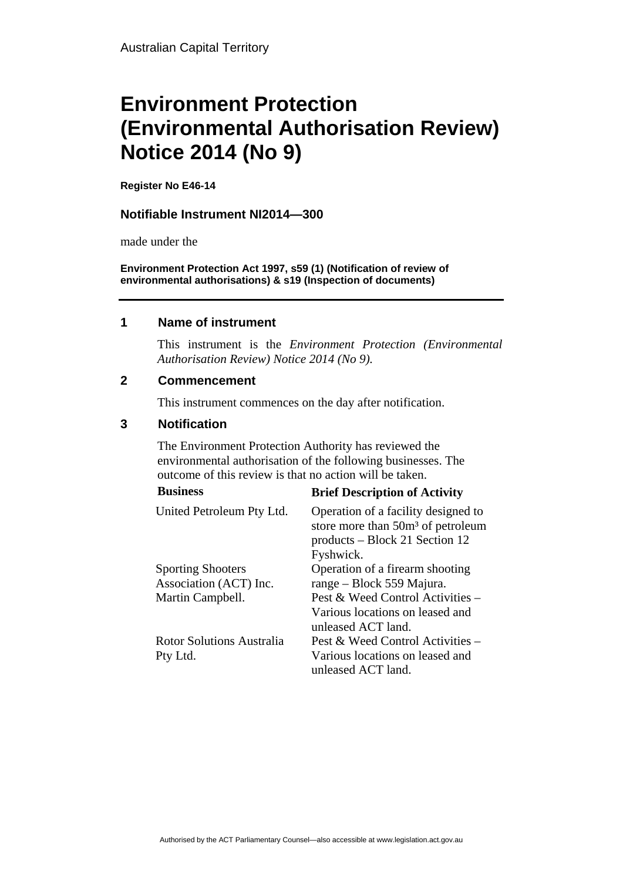# **Environment Protection (Environmental Authorisation Review) Notice 2014 (No 9)**

**Register No E46-14**

#### **Notifiable Instrument NI2014—300**

made under the

**Environment Protection Act 1997, s59 (1) (Notification of review of environmental authorisations) & s19 (Inspection of documents)**

#### **1 Name of instrument**

This instrument is the *Environment Protection (Environmental Authorisation Review) Notice 2014 (No 9).* 

#### **2 Commencement**

This instrument commences on the day after notification.

### **3 Notification**

The Environment Protection Authority has reviewed the environmental authorisation of the following businesses. The outcome of this review is that no action will be taken. **Business Brief Description of Activity** 

| <b>DUSHIESS</b>                                    | <b>Brief Description of Activity</b>                                                                                                |
|----------------------------------------------------|-------------------------------------------------------------------------------------------------------------------------------------|
| United Petroleum Pty Ltd.                          | Operation of a facility designed to<br>store more than 50m <sup>3</sup> of petroleum<br>products – Block 21 Section 12<br>Fyshwick. |
| <b>Sporting Shooters</b><br>Association (ACT) Inc. | Operation of a firearm shooting<br>range – Block 559 Majura.                                                                        |
| Martin Campbell.                                   | Pest & Weed Control Activities -<br>Various locations on leased and<br>unleased ACT land.                                           |
| Rotor Solutions Australia                          | Pest & Weed Control Activities –                                                                                                    |
| Pty Ltd.                                           | Various locations on leased and<br>unleased ACT land.                                                                               |